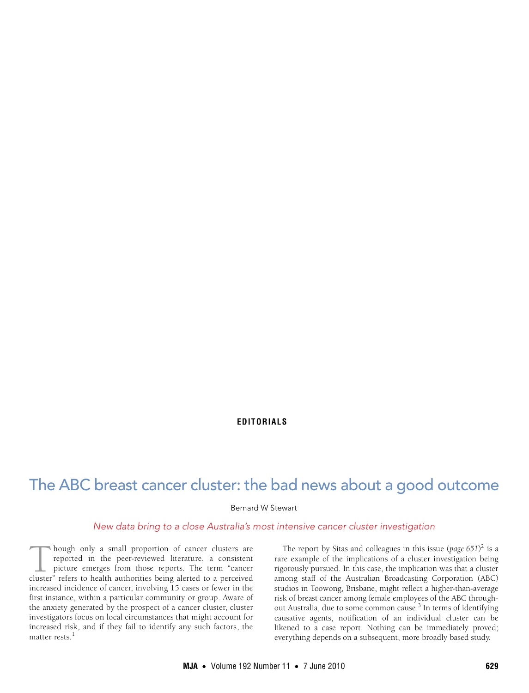## **EDITORIALS**

# The ABC breast cancer cluster: the bad news about a good outcome

Bernard W Stewart

## New data bring to a close Australia's most intensive cancer cluster investigation

hough only a small proportion of cancer clusters are reported in the peer-reviewed literature, a consistent picture emerges from those reports. The term "cancer Though only a small proportion of cancer clusters are reported in the peer-reviewed literature, a consistent picture emerges from those reports. The term "cancer cluster" refers to health authorities being alerted to a per increased incidence of cancer, involving 15 cases or fewer in the first instance, within a particular community or group. Aware of the anxiety generated by the prospect of a cancer cluster, cluster investigators focus on local circumstances that might account for increased risk, and if they fail to identify any such factors, the matter rests.<sup>1</sup>

The report by Sitas and colleagues in this issue (*page 651*) 2 is a rare example of the implications of a cluster investigation being rigorously pursued. In this case, the implication was that a cluster among staff of the Australian Broadcasting Corporation (ABC) studios in Toowong, Brisbane, might reflect a higher-than-average risk of breast cancer among female employees of the ABC throughout Australia, due to some common cause.<sup>3</sup> In terms of identifying causative agents, notification of an individual cluster can be likened to a case report. Nothing can be immediately proved; everything depends on a subsequent, more broadly based study.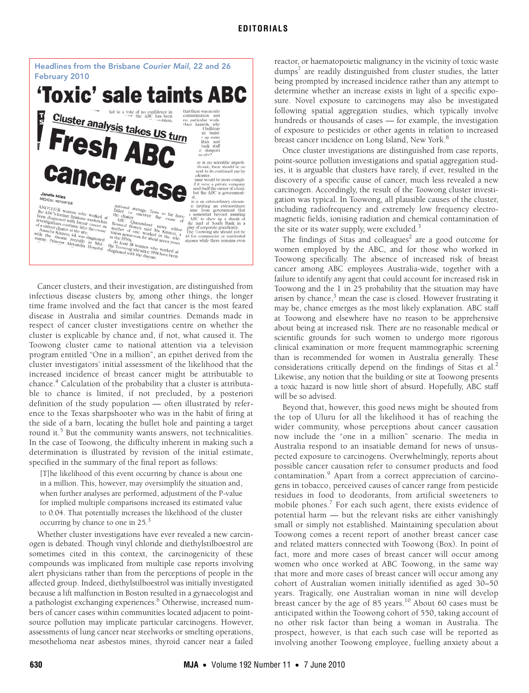

Cancer clusters, and their investigation, are distinguished from infectious disease clusters by, among other things, the longer time frame involved and the fact that cancer is the most feared disease in Australia and similar countries. Demands made in respect of cancer cluster investigations centre on whether the cluster is explicable by chance and, if not, what caused it. The Toowong cluster came to national attention via a television program entitled "One in a million", an epithet derived from the cluster investigators' initial assessment of the likelihood that the increased incidence of breast cancer might be attributable to chance.<sup>4</sup> Calculation of the probability that a cluster is attributable to chance is limited, if not precluded, by a posteriori definition of the study population — often illustrated by reference to the Texas sharpshooter who was in the habit of firing at the side of a barn, locating the bullet hole and painting a target round it.<sup>5</sup> But the community wants answers, not technicalities. In the case of Toowong, the difficulty inherent in making such a determination is illustrated by revision of the initial estimate, specified in the summary of the final report as follows:

[T]he likelihood of this event occurring by chance is about one in a million. This, however, may oversimplify the situation and, when further analyses are performed, adjustment of the P-value for implied multiple comparisons increased its estimated value to 0.04. That potentially increases the likelihood of the cluster occurring by chance to one in 25.<sup>3</sup>

Whether cluster investigations have ever revealed a new carcinogen is debated. Though vinyl chloride and diethylstilboestrol are sometimes cited in this context, the carcinogenicity of these compounds was implicated from multiple case reports involving alert physicians rather than from the perceptions of people in the affected group. Indeed, diethylstilboestrol was initially investigated because a lift malfunction in Boston resulted in a gynaecologist and a pathologist exchanging experiences.<sup>6</sup> Otherwise, increased numbers of cancer cases within communities located adjacent to pointsource pollution may implicate particular carcinogens. However, assessments of lung cancer near steelworks or smelting operations, mesothelioma near asbestos mines, thyroid cancer near a failed

reactor, or haematopoietic malignancy in the vicinity of toxic waste dumps<sup>7</sup> are readily distinguished from cluster studies, the latter being prompted by increased incidence rather than any attempt to determine whether an increase exists in light of a specific exposure. Novel exposure to carcinogens may also be investigated following spatial aggregation studies, which typically involve hundreds or thousands of cases — for example, the investigation of exposure to pesticides or other agents in relation to increased breast cancer incidence on Long Island, New York.<sup>8</sup>

Once cluster investigations are distinguished from case reports, point-source pollution investigations and spatial aggregation studies, it is arguable that clusters have rarely, if ever, resulted in the discovery of a specific cause of cancer, much less revealed a new carcinogen. Accordingly, the result of the Toowong cluster investigation was typical. In Toowong, all plausible causes of the cluster, including radiofrequency and extremely low frequency electromagnetic fields, ionising radiation and chemical contamination of the site or its water supply, were excluded.<sup>3</sup>

The findings of Sitas and colleagues<sup>2</sup> are a good outcome for women employed by the ABC, and for those who worked in Toowong specifically. The absence of increased risk of breast cancer among ABC employees Australia-wide, together with a failure to identify any agent that could account for increased risk in Toowong and the 1 in 25 probability that the situation may have arisen by chance,<sup>3</sup> mean the case is closed. However frustrating it may be, chance emerges as the most likely explanation. ABC staff at Toowong and elsewhere have no reason to be apprehensive about being at increased risk. There are no reasonable medical or scientific grounds for such women to undergo more rigorous clinical examination or more frequent mammographic screening than is recommended for women in Australia generally. These considerations critically depend on the findings of Sitas et al. $\alpha$ <sup>2</sup> Likewise, any notion that the building or site at Toowong presents a toxic hazard is now little short of absurd. Hopefully, ABC staff will be so advised.

Beyond that, however, this good news might be shouted from the top of Uluru for all the likelihood it has of reaching the wider community, whose perceptions about cancer causation now include the "one in a million" scenario. The media in Australia respond to an insatiable demand for news of unsuspected exposure to carcinogens. Overwhelmingly, reports about possible cancer causation refer to consumer products and food contamination.<sup>9</sup> Apart from a correct appreciation of carcinogens in tobacco, perceived causes of cancer range from pesticide residues in food to deodorants, from artificial sweeteners to mobile phones.<sup>7</sup> For each such agent, there exists evidence of potential harm — but the relevant risks are either vanishingly small or simply not established. Maintaining speculation about Toowong comes a recent report of another breast cancer case and related matters connected with Toowong (Box). In point of fact, more and more cases of breast cancer will occur among women who once worked at ABC Toowong, in the same way that more and more cases of breast cancer will occur among any cohort of Australian women initially identified as aged 30–50 years. Tragically, one Australian woman in nine will develop breast cancer by the age of 85 years.<sup>10</sup> About 60 cases must be anticipated within the Toowong cohort of 550, taking account of no other risk factor than being a woman in Australia. The prospect, however, is that each such case will be reported as involving another Toowong employee, fuelling anxiety about a